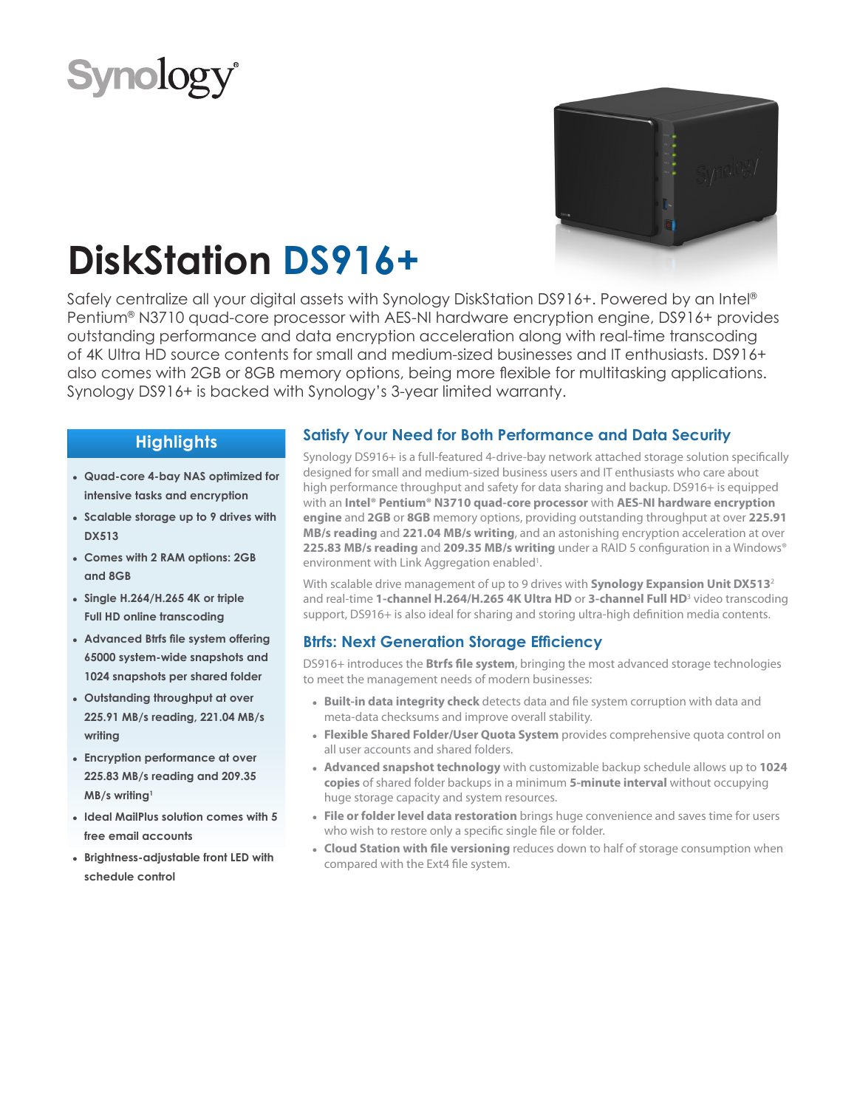



# **DiskStation DS916+**

Safely centralize all your digital assets with Synology DiskStation DS916+. Powered by an Intel® Pentium® N3710 quad-core processor with AES-NI hardware encryption engine, DS916+ provides outstanding performance and data encryption acceleration along with real-time transcoding of 4K Ultra HD source contents for small and medium-sized businesses and IT enthusiasts. DS916+ also comes with 2GB or 8GB memory options, being more flexible for multitasking applications. Synology DS916+ is backed with Synology's 3-year limited warranty.

# **Highlights**

- **● Quad-core 4-bay NAS optimized for intensive tasks and encryption**
- **● Scalable storage up to 9 drives with DX513**
- **● Comes with 2 RAM options: 2GB and 8GB**
- **● Single H.264/H.265 4K or triple Full HD online transcoding**
- **● Advanced Btrfs file system offering 65000 system-wide snapshots and 1024 snapshots per shared folder**
- **● Outstanding throughput at over 225.91 MB/s reading, 221.04 MB/s writing**
- **● Encryption performance at over 225.83 MB/s reading and 209.35 MB/s writing1**
- **● Ideal MailPlus solution comes with 5 free email accounts**
- **● Brightness-adjustable front LED with schedule control**

# **Satisfy Your Need for Both Performance and Data Security**

Synology DS916+ is a full-featured 4-drive-bay network attached storage solution specifically designed for small and medium-sized business users and IT enthusiasts who care about high performance throughput and safety for data sharing and backup. DS916+ is equipped with an **Intel® Pentium® N3710 quad-core processor** with **AES-NI hardware encryption engine** and **2GB** or **8GB** memory options, providing outstanding throughput at over **225.91 MB/s reading** and **221.04 MB/s writing**, and an astonishing encryption acceleration at over **225.83 MB/s reading** and **209.35 MB/s writing** under a RAID 5 configuration in a Windows® environment with Link Aggregation enabled<sup>1</sup>.

With scalable drive management of up to 9 drives with **Synology Expansion Unit DX513**<sup>2</sup> and real-time **1-channel H.264/H.265 4K Ultra HD** or **3-channel Full HD**<sup>3</sup> video transcoding support, DS916+ is also ideal for sharing and storing ultra-high definition media contents.

### **Btrfs: Next Generation Storage Efficiency**

DS916+ introduces the **Btrfs file system**, bringing the most advanced storage technologies to meet the management needs of modern businesses:

- **● Built-in data integrity check** detects data and file system corruption with data and meta-data checksums and improve overall stability.
- **● Flexible Shared Folder/User Quota System** provides comprehensive quota control on all user accounts and shared folders.
- **● Advanced snapshot technology** with customizable backup schedule allows up to **1024 copies** of shared folder backups in a minimum **5-minute interval** without occupying huge storage capacity and system resources.
- **● File or folder level data restoration** brings huge convenience and saves time for users who wish to restore only a specific single file or folder.
- **● Cloud Station with file versioning** reduces down to half of storage consumption when compared with the Ext4 file system.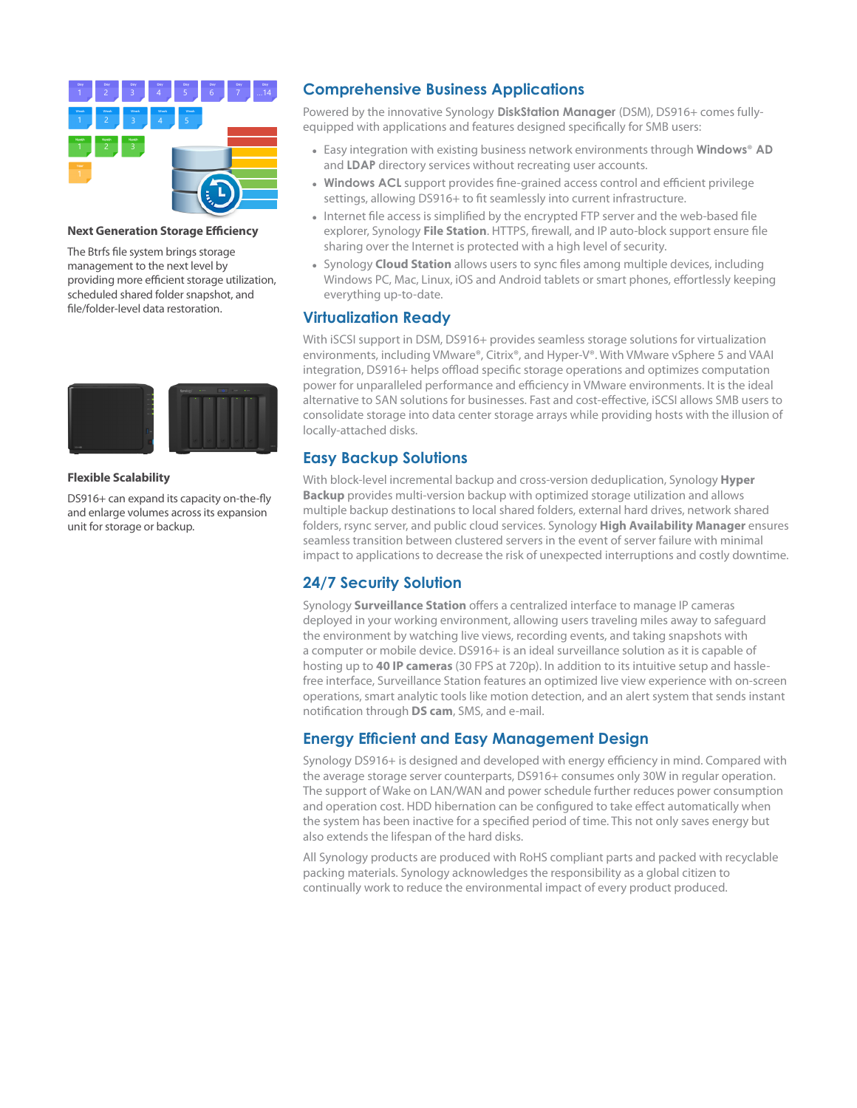

### **Next Generation Storage Efficiency**

The Btrfs file system brings storage management to the next level by providing more efficient storage utilization, scheduled shared folder snapshot, and file/folder-level data restoration.



### **Flexible Scalability**

DS916+ can expand its capacity on-the-fly and enlarge volumes across its expansion unit for storage or backup.

### **Comprehensive Business Applications**

Powered by the innovative Synology **DiskStation Manager** (DSM), DS916+ comes fullyequipped with applications and features designed specifically for SMB users:

- **●** Easy integration with existing business network environments through **Windows**® **AD** and **LDAP** directory services without recreating user accounts.
- **● Windows ACL** support provides fine-grained access control and efficient privilege settings, allowing DS916+ to fit seamlessly into current infrastructure.
- **●** Internet file access is simplified by the encrypted FTP server and the web-based file explorer, Synology **File Station**. HTTPS, firewall, and IP auto-block support ensure file sharing over the Internet is protected with a high level of security.
- **●** Synology **Cloud Station** allows users to sync files among multiple devices, including Windows PC, Mac, Linux, iOS and Android tablets or smart phones, effortlessly keeping everything up-to-date.

### **Virtualization Ready**

With iSCSI support in DSM, DS916+ provides seamless storage solutions for virtualization environments, including VMware®, Citrix®, and Hyper-V®. With VMware vSphere 5 and VAAI integration, DS916+ helps offload specific storage operations and optimizes computation power for unparalleled performance and efficiency in VMware environments. It is the ideal alternative to SAN solutions for businesses. Fast and cost-effective, iSCSI allows SMB users to consolidate storage into data center storage arrays while providing hosts with the illusion of locally-attached disks.

## **Easy Backup Solutions**

With block-level incremental backup and cross-version deduplication, Synology **Hyper Backup** provides multi-version backup with optimized storage utilization and allows multiple backup destinations to local shared folders, external hard drives, network shared folders, rsync server, and public cloud services. Synology **High Availability Manager** ensures seamless transition between clustered servers in the event of server failure with minimal impact to applications to decrease the risk of unexpected interruptions and costly downtime.

## **24/7 Security Solution**

Synology **Surveillance Station** offers a centralized interface to manage IP cameras deployed in your working environment, allowing users traveling miles away to safeguard the environment by watching live views, recording events, and taking snapshots with a computer or mobile device. DS916+ is an ideal surveillance solution as it is capable of hosting up to **40 IP cameras** (30 FPS at 720p). In addition to its intuitive setup and hasslefree interface, Surveillance Station features an optimized live view experience with on-screen operations, smart analytic tools like motion detection, and an alert system that sends instant notification through **DS cam**, SMS, and e-mail.

## **Energy Efficient and Easy Management Design**

Synology DS916+ is designed and developed with energy efficiency in mind. Compared with the average storage server counterparts, DS916+ consumes only 30W in regular operation. The support of Wake on LAN/WAN and power schedule further reduces power consumption and operation cost. HDD hibernation can be configured to take effect automatically when the system has been inactive for a specified period of time. This not only saves energy but also extends the lifespan of the hard disks.

All Synology products are produced with RoHS compliant parts and packed with recyclable packing materials. Synology acknowledges the responsibility as a global citizen to continually work to reduce the environmental impact of every product produced.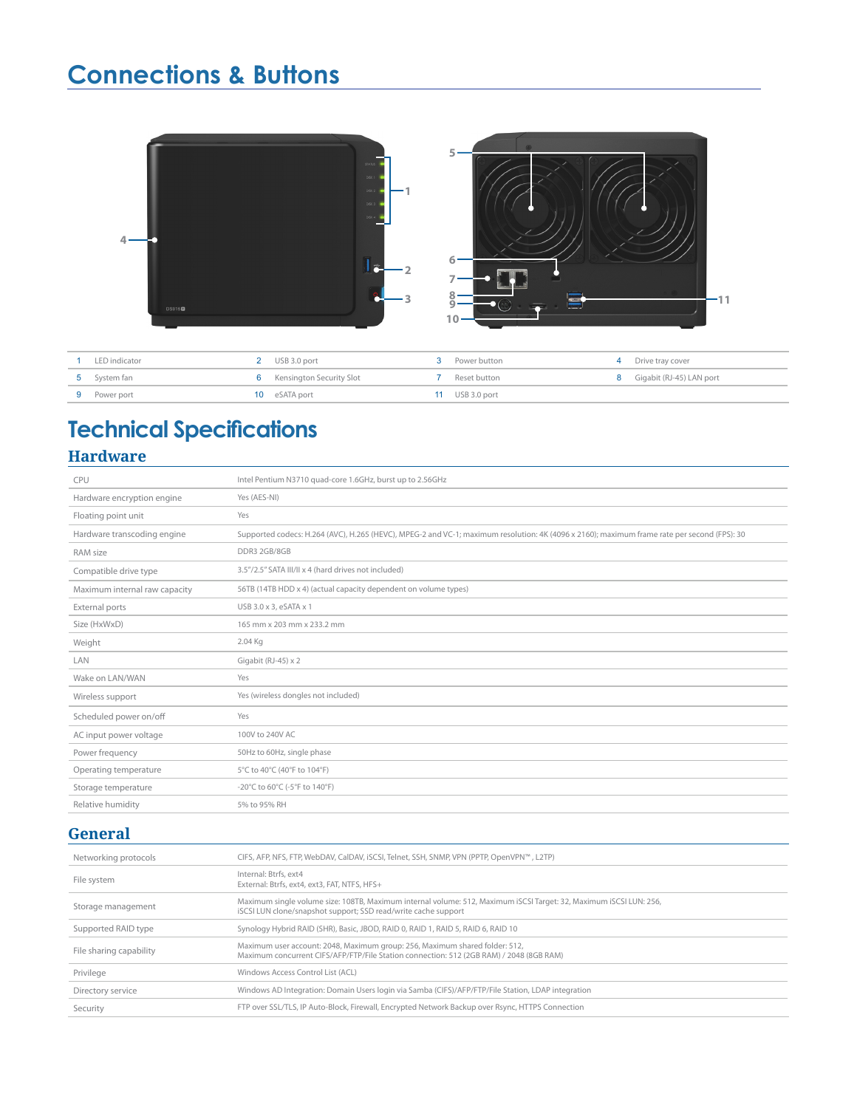# **Connections & Buttons**



| LED indicator | 2 USB 3.0 port                    | <b>3</b> Power button | 4 Drive tray cover         |
|---------------|-----------------------------------|-----------------------|----------------------------|
| 5 System fan  | <b>6</b> Kensington Security Slot | <b>7</b> Reset button | 8 Gigabit (RJ-45) LAN port |
| 9 Power port  | 10 eSATA port                     | 11 USB 3.0 port       |                            |

# **Technical Specifications Hardware**

| CPU                           | Intel Pentium N3710 quad-core 1.6GHz, burst up to 2.56GHz                                                                                   |
|-------------------------------|---------------------------------------------------------------------------------------------------------------------------------------------|
| Hardware encryption engine    | Yes (AES-NI)                                                                                                                                |
| Floating point unit           | Yes                                                                                                                                         |
| Hardware transcoding engine   | Supported codecs: H.264 (AVC), H.265 (HEVC), MPEG-2 and VC-1; maximum resolution: 4K (4096 x 2160); maximum frame rate per second (FPS): 30 |
| RAM size                      | DDR3 2GB/8GB                                                                                                                                |
| Compatible drive type         | 3.5"/2.5" SATA III/II x 4 (hard drives not included)                                                                                        |
| Maximum internal raw capacity | 56TB (14TB HDD x 4) (actual capacity dependent on volume types)                                                                             |
| External ports                | USB 3.0 x 3, eSATA x 1                                                                                                                      |
| Size (HxWxD)                  | 165 mm x 203 mm x 233.2 mm                                                                                                                  |
| Weight                        | 2.04 Kg                                                                                                                                     |
| LAN                           | Gigabit (RJ-45) x 2                                                                                                                         |
| Wake on LAN/WAN               | Yes                                                                                                                                         |
| Wireless support              | Yes (wireless dongles not included)                                                                                                         |
| Scheduled power on/off        | Yes                                                                                                                                         |
| AC input power voltage        | 100V to 240V AC                                                                                                                             |
| Power frequency               | 50Hz to 60Hz, single phase                                                                                                                  |
| Operating temperature         | 5°C to 40°C (40°F to 104°F)                                                                                                                 |
| Storage temperature           | -20°C to 60°C (-5°F to 140°F)                                                                                                               |
| Relative humidity             | 5% to 95% RH                                                                                                                                |

# **General**

| Networking protocols    | CIFS, AFP, NFS, FTP, WebDAV, CalDAV, iSCSI, Telnet, SSH, SNMP, VPN (PPTP, OpenVPN™, L2TP)                                                                                            |
|-------------------------|--------------------------------------------------------------------------------------------------------------------------------------------------------------------------------------|
| File system             | Internal: Btrfs, ext4<br>External: Btrfs, ext4, ext3, FAT, NTFS, HFS+                                                                                                                |
| Storage management      | Maximum single volume size: 108TB, Maximum internal volume: 512, Maximum iSCSI Target: 32, Maximum iSCSI LUN: 256,<br>iSCSI LUN clone/snapshot support; SSD read/write cache support |
| Supported RAID type     | Synology Hybrid RAID (SHR), Basic, JBOD, RAID 0, RAID 1, RAID 5, RAID 6, RAID 10                                                                                                     |
| File sharing capability | Maximum user account: 2048, Maximum group: 256, Maximum shared folder: 512,<br>Maximum concurrent CIFS/AFP/FTP/File Station connection: 512 (2GB RAM) / 2048 (8GB RAM)               |
| Privilege               | Windows Access Control List (ACL)                                                                                                                                                    |
| Directory service       | Windows AD Integration: Domain Users login via Samba (CIFS)/AFP/FTP/File Station, LDAP integration                                                                                   |
| Security                | FTP over SSL/TLS, IP Auto-Block, Firewall, Encrypted Network Backup over Rsync, HTTPS Connection                                                                                     |